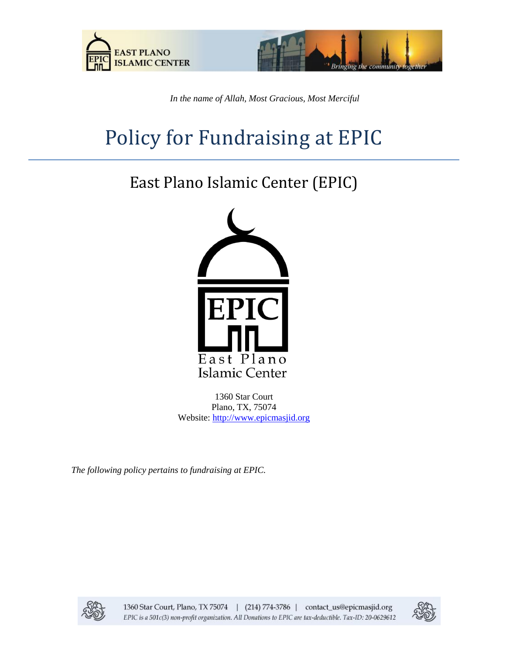



*In the name of Allah, Most Gracious, Most Merciful*

# Policy for Fundraising at EPIC

# East Plano Islamic Center (EPIC)



1360 Star Court Plano, TX, 75074 Website: [http://www.epicmasjid.org](http://www.al-iman.org/)

*The following policy pertains to fundraising at EPIC.*



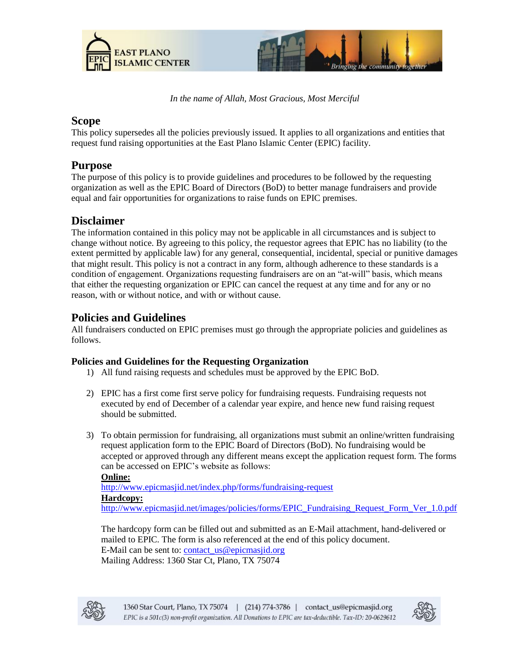



*In the name of Allah, Most Gracious, Most Merciful*

# **Scope**

This policy supersedes all the policies previously issued. It applies to all organizations and entities that request fund raising opportunities at the East Plano Islamic Center (EPIC) facility.

# **Purpose**

The purpose of this policy is to provide guidelines and procedures to be followed by the requesting organization as well as the EPIC Board of Directors (BoD) to better manage fundraisers and provide equal and fair opportunities for organizations to raise funds on EPIC premises.

# **Disclaimer**

The information contained in this policy may not be applicable in all circumstances and is subject to change without notice. By agreeing to this policy, the requestor agrees that EPIC has no liability (to the extent permitted by applicable law) for any general, consequential, incidental, special or punitive damages that might result. This policy is not a contract in any form, although adherence to these standards is a condition of engagement. Organizations requesting fundraisers are on an "at-will" basis, which means that either the requesting organization or EPIC can cancel the request at any time and for any or no reason, with or without notice, and with or without cause.

# **Policies and Guidelines**

All fundraisers conducted on EPIC premises must go through the appropriate policies and guidelines as follows.

#### **Policies and Guidelines for the Requesting Organization**

- 1) All fund raising requests and schedules must be approved by the EPIC BoD.
- 2) EPIC has a first come first serve policy for fundraising requests. Fundraising requests not executed by end of December of a calendar year expire, and hence new fund raising request should be submitted.
- 3) To obtain permission for fundraising, all organizations must submit an online/written fundraising request application form to the EPIC Board of Directors (BoD). No fundraising would be accepted or approved through any different means except the application request form. The forms can be accessed on EPIC's website as follows:

**Online:**  <http://www.epicmasjid.net/index.php/forms/fundraising-request> **Hardcopy:** [http://www.epicmasjid.net/images/policies/forms/EPIC\\_Fundraising\\_Request\\_Form\\_Ver\\_1.0.pdf](http://www.epicmasjid.net/images/policies/forms/EPIC_Fundraising_Request_Form_Ver_1.0.pdf)

The hardcopy form can be filled out and submitted as an E-Mail attachment, hand-delivered or mailed to EPIC. The form is also referenced at the end of this policy document. E-Mail can be sent to: [contact\\_us@epicmasjid.org](mailto:contact_us@epicmasjid.org) Mailing Address: 1360 Star Ct, Plano, TX 75074



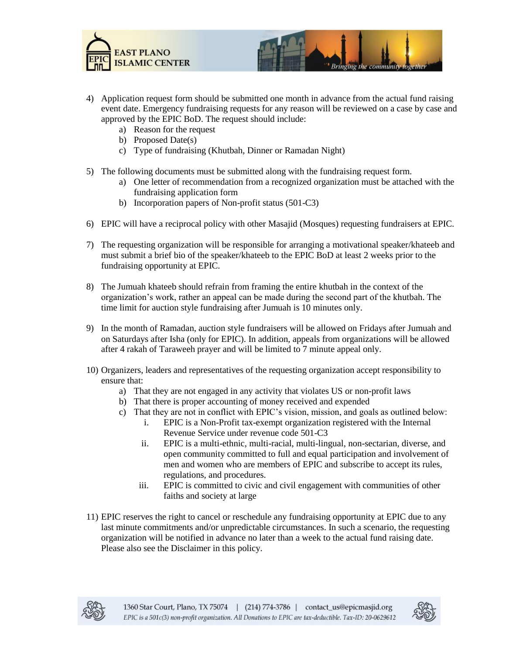



- 4) Application request form should be submitted one month in advance from the actual fund raising event date. Emergency fundraising requests for any reason will be reviewed on a case by case and approved by the EPIC BoD. The request should include:
	- a) Reason for the request
	- b) Proposed Date(s)
	- c) Type of fundraising (Khutbah, Dinner or Ramadan Night)
- 5) The following documents must be submitted along with the fundraising request form.
	- a) One letter of recommendation from a recognized organization must be attached with the fundraising application form
	- b) Incorporation papers of Non-profit status (501-C3)
- 6) EPIC will have a reciprocal policy with other Masajid (Mosques) requesting fundraisers at EPIC.
- 7) The requesting organization will be responsible for arranging a motivational speaker/khateeb and must submit a brief bio of the speaker/khateeb to the EPIC BoD at least 2 weeks prior to the fundraising opportunity at EPIC.
- 8) The Jumuah khateeb should refrain from framing the entire khutbah in the context of the organization's work, rather an appeal can be made during the second part of the khutbah. The time limit for auction style fundraising after Jumuah is 10 minutes only.
- 9) In the month of Ramadan, auction style fundraisers will be allowed on Fridays after Jumuah and on Saturdays after Isha (only for EPIC). In addition, appeals from organizations will be allowed after 4 rakah of Taraweeh prayer and will be limited to 7 minute appeal only.
- 10) Organizers, leaders and representatives of the requesting organization accept responsibility to ensure that:
	- a) That they are not engaged in any activity that violates US or non-profit laws
	- b) That there is proper accounting of money received and expended
	- c) That they are not in conflict with EPIC's vision, mission, and goals as outlined below:
		- i. EPIC is a Non-Profit tax-exempt organization registered with the Internal Revenue Service under revenue code 501-C3
		- ii. EPIC is a multi-ethnic, multi-racial, multi-lingual, non-sectarian, diverse, and open community committed to full and equal participation and involvement of men and women who are members of EPIC and subscribe to accept its rules, regulations, and procedures.
		- iii. EPIC is committed to civic and civil engagement with communities of other faiths and society at large
- 11) EPIC reserves the right to cancel or reschedule any fundraising opportunity at EPIC due to any last minute commitments and/or unpredictable circumstances. In such a scenario, the requesting organization will be notified in advance no later than a week to the actual fund raising date. Please also see the Disclaimer in this policy.



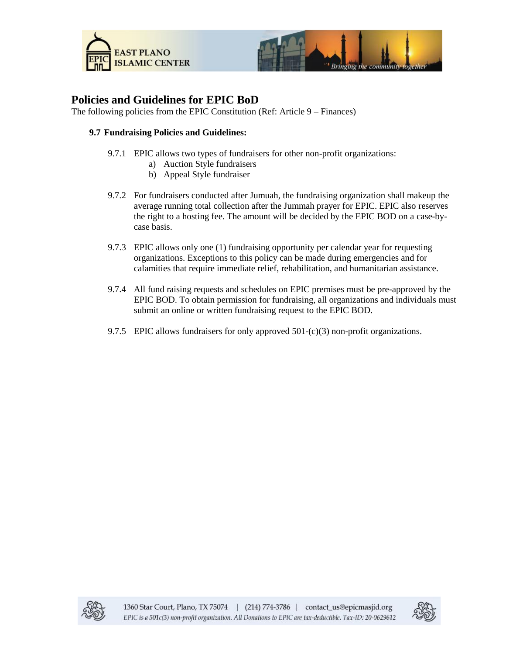



# **Policies and Guidelines for EPIC BoD**

The following policies from the EPIC Constitution (Ref: Article 9 – Finances)

#### **9.7 Fundraising Policies and Guidelines:**

- 9.7.1 EPIC allows two types of fundraisers for other non-profit organizations:
	- a) Auction Style fundraisers
	- b) Appeal Style fundraiser
- 9.7.2 For fundraisers conducted after Jumuah, the fundraising organization shall makeup the average running total collection after the Jummah prayer for EPIC. EPIC also reserves the right to a hosting fee. The amount will be decided by the EPIC BOD on a case-bycase basis.
- 9.7.3 EPIC allows only one (1) fundraising opportunity per calendar year for requesting organizations. Exceptions to this policy can be made during emergencies and for calamities that require immediate relief, rehabilitation, and humanitarian assistance.
- 9.7.4 All fund raising requests and schedules on EPIC premises must be pre-approved by the EPIC BOD. To obtain permission for fundraising, all organizations and individuals must submit an online or written fundraising request to the EPIC BOD.
- 9.7.5 EPIC allows fundraisers for only approved  $501-(c)(3)$  non-profit organizations.